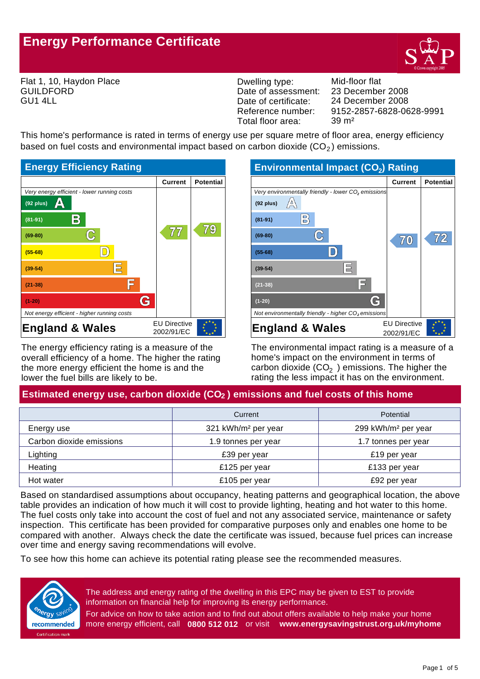# **Energy Performance Certificate**



Flat 1, 10, Haydon Place GUILDFORD GU1 4LL

Dwelling type: Mid-floor flat Date of assessment: Date of certificate: Reference number: Total floor area: 39 m²

9152-2857-6828-0628-9991 24 December 2008 23 December 2008

This home's performance is rated in terms of energy use per square metre of floor area, energy efficiency based on fuel costs and environmental impact based on carbon dioxide  $(CO<sub>2</sub>)$  emissions.



The energy efficiency rating is a measure of the overall efficiency of a home. The higher the rating the more energy efficient the home is and the lower the fuel bills are likely to be.

| <b>Environmental Impact (CO2) Rating</b>                        |                     |                  |  |
|-----------------------------------------------------------------|---------------------|------------------|--|
|                                                                 | <b>Current</b>      | <b>Potential</b> |  |
| Very environmentally friendly - lower CO <sub>2</sub> emissions |                     |                  |  |
| $(92$ plus)                                                     |                     |                  |  |
| $\mathsf{B}^{\wr}$<br>$(81 - 91)$                               |                     |                  |  |
| $(69-80)$                                                       | 7/(0)               | 772              |  |
| $(55-68)$                                                       |                     |                  |  |
| $(39-54)$                                                       |                     |                  |  |
| $(21 - 38)$                                                     |                     |                  |  |
| $(1-20)$                                                        |                     |                  |  |
| Not environmentally friendly - higher $CO2$ emissions           |                     |                  |  |
| <b>England &amp; Wales</b>                                      | <b>EU Directive</b> |                  |  |
|                                                                 | 2002/91/EC          |                  |  |

The environmental impact rating is a measure of a home's impact on the environment in terms of carbon dioxide (CO<sub>2</sub>) emissions. The higher the rating the less impact it has on the environment.

# Estimated energy use, carbon dioxide (CO<sub>2</sub>) emissions and fuel costs of this home

|                          | Current                         | <b>Potential</b>                |
|--------------------------|---------------------------------|---------------------------------|
| Energy use               | 321 kWh/m <sup>2</sup> per year | 299 kWh/m <sup>2</sup> per year |
| Carbon dioxide emissions | 1.9 tonnes per year             | 1.7 tonnes per year             |
| Lighting                 | £39 per year                    | £19 per year                    |
| Heating                  | £125 per year                   | £133 per year                   |
| Hot water                | £105 per year                   | £92 per year                    |

Based on standardised assumptions about occupancy, heating patterns and geographical location, the above table provides an indication of how much it will cost to provide lighting, heating and hot water to this home. The fuel costs only take into account the cost of fuel and not any associated service, maintenance or safety inspection. This certificate has been provided for comparative purposes only and enables one home to be compared with another. Always check the date the certificate was issued, because fuel prices can increase over time and energy saving recommendations will evolve.

To see how this home can achieve its potential rating please see the recommended measures.



The address and energy rating of the dwelling in this EPC may be given to EST to provide information on financial help for improving its energy performance.

For advice on how to take action and to find out about offers available to help make your home more energy efficient, call **0800 512 012** or visit **www.energysavingstrust.org.uk/myhome**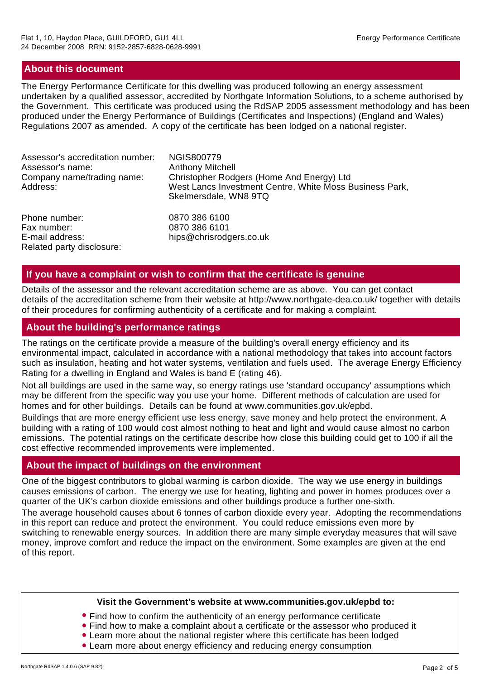## **About this document**

Related party disclosure:

The Energy Performance Certificate for this dwelling was produced following an energy assessment undertaken by a qualified assessor, accredited by Northgate Information Solutions, to a scheme authorised by the Government. This certificate was produced using the RdSAP 2005 assessment methodology and has been produced under the Energy Performance of Buildings (Certificates and Inspections) (England and Wales) Regulations 2007 as amended. A copy of the certificate has been lodged on a national register.

| Assessor's accreditation number:<br>Assessor's name:<br>Company name/trading name:<br>Address: | <b>NGIS800779</b><br><b>Anthony Mitchell</b><br>Christopher Rodgers (Home And Energy) Ltd<br>West Lancs Investment Centre, White Moss Business Park,<br>Skelmersdale, WN8 9TQ |
|------------------------------------------------------------------------------------------------|-------------------------------------------------------------------------------------------------------------------------------------------------------------------------------|
| Phone number:                                                                                  | 0870 386 6100                                                                                                                                                                 |
| Fax number:                                                                                    | 0870 386 6101                                                                                                                                                                 |
| E-mail address:                                                                                | hips@chrisrodgers.co.uk                                                                                                                                                       |

## **If you have a complaint or wish to confirm that the certificate is genuine**

Details of the assessor and the relevant accreditation scheme are as above. You can get contact details of the accreditation scheme from their website at http://www.northgate-dea.co.uk/ together with details of their procedures for confirming authenticity of a certificate and for making a complaint.

#### **About the building's performance ratings**

The ratings on the certificate provide a measure of the building's overall energy efficiency and its environmental impact, calculated in accordance with a national methodology that takes into account factors such as insulation, heating and hot water systems, ventilation and fuels used. The average Energy Efficiency Rating for a dwelling in England and Wales is band E (rating 46).

Not all buildings are used in the same way, so energy ratings use 'standard occupancy' assumptions which may be different from the specific way you use your home. Different methods of calculation are used for homes and for other buildings. Details can be found at www.communities.gov.uk/epbd.

Buildings that are more energy efficient use less energy, save money and help protect the environment. A building with a rating of 100 would cost almost nothing to heat and light and would cause almost no carbon emissions. The potential ratings on the certificate describe how close this building could get to 100 if all the cost effective recommended improvements were implemented.

# **About the impact of buildings on the environment**

One of the biggest contributors to global warming is carbon dioxide. The way we use energy in buildings causes emissions of carbon. The energy we use for heating, lighting and power in homes produces over a quarter of the UK's carbon dioxide emissions and other buildings produce a further one-sixth.

The average household causes about 6 tonnes of carbon dioxide every year. Adopting the recommendations in this report can reduce and protect the environment. You could reduce emissions even more by switching to renewable energy sources. In addition there are many simple everyday measures that will save money, improve comfort and reduce the impact on the environment. Some examples are given at the end of this report.

#### **Visit the Government's website at www.communities.gov.uk/epbd to:**

- Find how to confirm the authenticity of an energy performance certificate
- Find how to make a complaint about a certificate or the assessor who produced it
- Learn more about the national register where this certificate has been lodged
- Learn more about energy efficiency and reducing energy consumption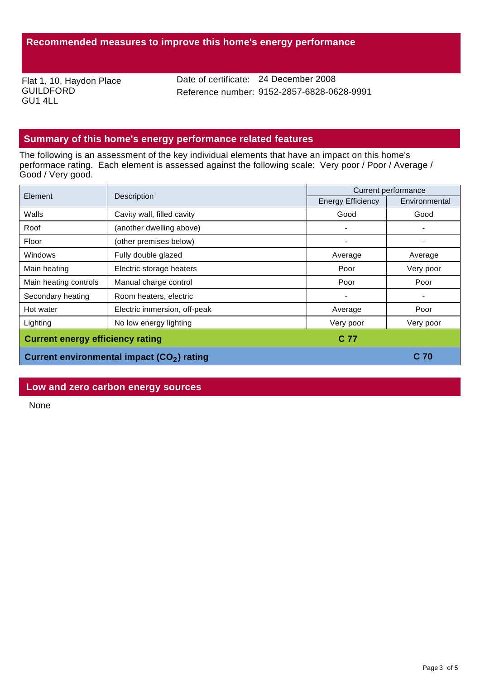Flat 1, 10, Haydon Place GUILDFORD GU1 4LL

Date of certificate: 24 December 2008 Reference number: 9152-2857-6828-0628-9991

# **Summary of this home's energy performance related features**

The following is an assessment of the key individual elements that have an impact on this home's performace rating. Each element is assessed against the following scale: Very poor / Poor / Average / Good / Very good.

| Element                                                | Description                  | Current performance      |               |
|--------------------------------------------------------|------------------------------|--------------------------|---------------|
|                                                        |                              | <b>Energy Efficiency</b> | Environmental |
| Walls                                                  | Cavity wall, filled cavity   | Good                     | Good          |
| Roof                                                   | (another dwelling above)     |                          |               |
| Floor                                                  | (other premises below)       |                          |               |
| Windows                                                | Fully double glazed          | Average                  | Average       |
| Main heating                                           | Electric storage heaters     | Poor                     | Very poor     |
| Main heating controls                                  | Manual charge control        | Poor                     | Poor          |
| Secondary heating                                      | Room heaters, electric       |                          |               |
| Hot water                                              | Electric immersion, off-peak | Average                  | Poor          |
| Lighting                                               | No low energy lighting       | Very poor                | Very poor     |
| <b>Current energy efficiency rating</b>                |                              | C 77                     |               |
| Current environmental impact (CO <sub>2</sub> ) rating |                              | C 70                     |               |

## **Low and zero carbon energy sources**

None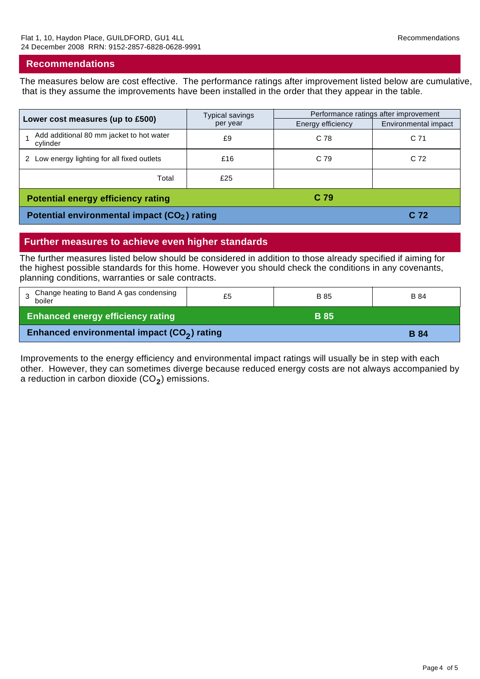## **Recommendations**

The measures below are cost effective. The performance ratings after improvement listed below are cumulative, that is they assume the improvements have been installed in the order that they appear in the table.

| Lower cost measures (up to £500)                         | Typical savings | Performance ratings after improvement |                      |
|----------------------------------------------------------|-----------------|---------------------------------------|----------------------|
|                                                          | per year        | Energy efficiency                     | Environmental impact |
| Add additional 80 mm jacket to hot water<br>cylinder     | £9              | C 78                                  | C 71                 |
| 2 Low energy lighting for all fixed outlets              | £16             | C 79                                  | C 72                 |
| Total                                                    | £25             |                                       |                      |
| <b>Potential energy efficiency rating</b>                |                 | C <sub>79</sub>                       |                      |
| Potential environmental impact (CO <sub>2</sub> ) rating |                 |                                       | C 72                 |

## **Further measures to achieve even higher standards**

The further measures listed below should be considered in addition to those already specified if aiming for the highest possible standards for this home. However you should check the conditions in any covenants, planning conditions, warranties or sale contracts.

| Change heating to Band A gas condensing<br>boiler       | £5 | B 85        | <b>B</b> 84 |
|---------------------------------------------------------|----|-------------|-------------|
| <b>Enhanced energy efficiency rating</b>                |    | <b>B</b> 85 |             |
| Enhanced environmental impact (CO <sub>2</sub> ) rating |    |             | <b>B</b> 84 |

Improvements to the energy efficiency and environmental impact ratings will usually be in step with each other. However, they can sometimes diverge because reduced energy costs are not always accompanied by a reduction in carbon dioxide (CO<sub>2</sub>) emissions.